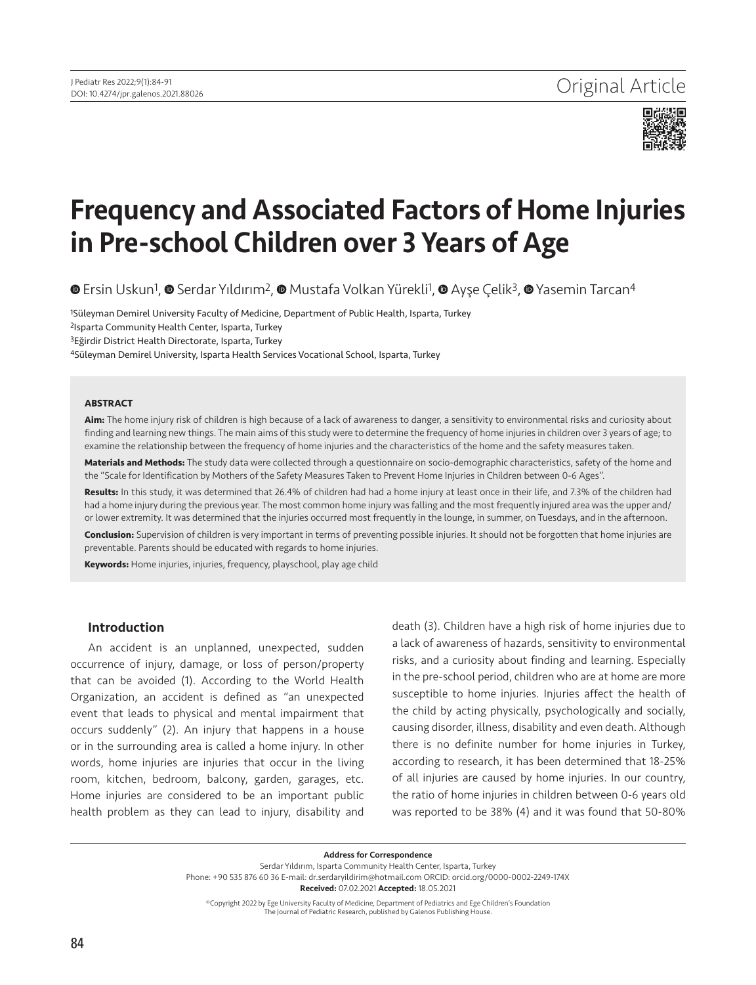

# Frequency and Associated Factors of Home Injuries in Pre-school Children over 3 Years of Age

**The [E](https://orcid.org/0000-0001-6446-0186)rsinUskun<sup>1</sup>, © Serdar Yıldırım<sup>2</sup>, © [M](https://orcid.org/0000-0003-4991-6805)ustafa Volkan Yürekli<sup>1</sup>[,](https://orcid.org/0000-0002-0267-6878) © Ayşe Çelik<sup>3</sup>, © Yasemin Tarcan<sup>4</sup>** 

<sup>1</sup>Süleyman Demirel University Faculty of Medicine, Department of Public Health, Isparta, Turkey 2Isparta Community Health Center, Isparta, Turkey 3Eğirdir District Health Directorate, Isparta, Turkey

4Süleyman Demirel University, Isparta Health Services Vocational School, Isparta, Turkey

#### **ABSTRACT**

**Aim:** The home injury risk of children is high because of a lack of awareness to danger, a sensitivity to environmental risks and curiosity about finding and learning new things. The main aims of this study were to determine the frequency of home injuries in children over 3 years of age; to examine the relationship between the frequency of home injuries and the characteristics of the home and the safety measures taken.

**Materials and Methods:** The study data were collected through a questionnaire on socio-demographic characteristics, safety of the home and the "Scale for Identification by Mothers of the Safety Measures Taken to Prevent Home Injuries in Children between 0-6 Ages".

**Results:** In this study, it was determined that 26.4% of children had had a home injury at least once in their life, and 7.3% of the children had had a home injury during the previous year. The most common home injury was falling and the most frequently injured area was the upper and/ or lower extremity. It was determined that the injuries occurred most frequently in the lounge, in summer, on Tuesdays, and in the afternoon.

**Conclusion:** Supervision of children is very important in terms of preventing possible injuries. It should not be forgotten that home injuries are preventable. Parents should be educated with regards to home injuries.

**Keywords:** Home injuries, injuries, frequency, playschool, play age child

#### Introduction

An accident is an unplanned, unexpected, sudden occurrence of injury, damage, or loss of person/property that can be avoided (1). According to the World Health Organization, an accident is defined as "an unexpected event that leads to physical and mental impairment that occurs suddenly" (2). An injury that happens in a house or in the surrounding area is called a home injury. In other words, home injuries are injuries that occur in the living room, kitchen, bedroom, balcony, garden, garages, etc. Home injuries are considered to be an important public health problem as they can lead to injury, disability and

death (3). Children have a high risk of home injuries due to a lack of awareness of hazards, sensitivity to environmental risks, and a curiosity about finding and learning. Especially in the pre-school period, children who are at home are more susceptible to home injuries. Injuries affect the health of the child by acting physically, psychologically and socially, causing disorder, illness, disability and even death. Although there is no definite number for home injuries in Turkey, according to research, it has been determined that 18-25% of all injuries are caused by home injuries. In our country, the ratio of home injuries in children between 0-6 years old was reported to be 38% (4) and it was found that 50-80%

Address for Correspondence Serdar Yıldırım, Isparta Community Health Center, Isparta, Turkey Phone: +90 535 876 60 36 E-mail: dr.serdaryildirim@hotmail.com ORCID: orcid.org/0000-0002-2249-174X Received: 07.02.2021 Accepted: 18.05.2021

©Copyright 2022 by Ege University Faculty of Medicine, Department of Pediatrics and Ege Children's Foundation The Journal of Pediatric Research, published by Galenos Publishing House.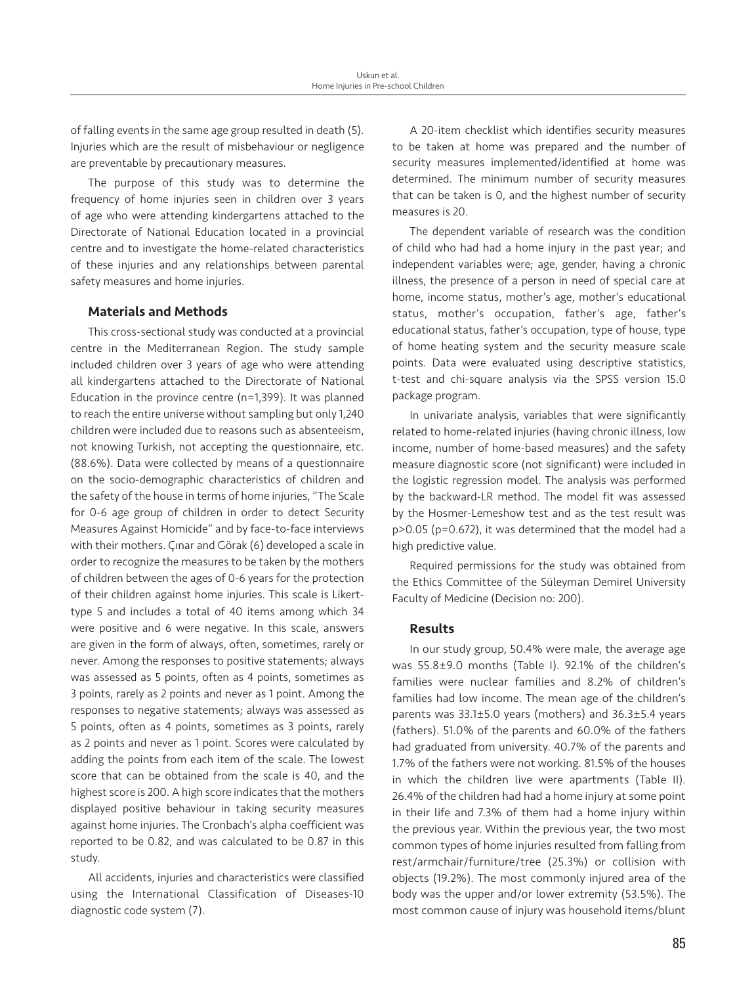of falling events in the same age group resulted in death (5). Injuries which are the result of misbehaviour or negligence are preventable by precautionary measures.

The purpose of this study was to determine the frequency of home injuries seen in children over 3 years of age who were attending kindergartens attached to the Directorate of National Education located in a provincial centre and to investigate the home-related characteristics of these injuries and any relationships between parental safety measures and home injuries.

### Materials and Methods

This cross-sectional study was conducted at a provincial centre in the Mediterranean Region. The study sample included children over 3 years of age who were attending all kindergartens attached to the Directorate of National Education in the province centre (n=1,399). It was planned to reach the entire universe without sampling but only 1,240 children were included due to reasons such as absenteeism, not knowing Turkish, not accepting the questionnaire, etc. (88.6%). Data were collected by means of a questionnaire on the socio-demographic characteristics of children and the safety of the house in terms of home injuries, "The Scale for 0-6 age group of children in order to detect Security Measures Against Homicide" and by face-to-face interviews with their mothers. Çınar and Görak (6) developed a scale in order to recognize the measures to be taken by the mothers of children between the ages of 0-6 years for the protection of their children against home injuries. This scale is Likerttype 5 and includes a total of 40 items among which 34 were positive and 6 were negative. In this scale, answers are given in the form of always, often, sometimes, rarely or never. Among the responses to positive statements; always was assessed as 5 points, often as 4 points, sometimes as 3 points, rarely as 2 points and never as 1 point. Among the responses to negative statements; always was assessed as 5 points, often as 4 points, sometimes as 3 points, rarely as 2 points and never as 1 point. Scores were calculated by adding the points from each item of the scale. The lowest score that can be obtained from the scale is 40, and the highest score is 200. A high score indicates that the mothers displayed positive behaviour in taking security measures against home injuries. The Cronbach's alpha coefficient was reported to be 0.82, and was calculated to be 0.87 in this study.

All accidents, injuries and characteristics were classified using the International Classification of Diseases-10 diagnostic code system (7).

A 20-item checklist which identifies security measures to be taken at home was prepared and the number of security measures implemented/identified at home was determined. The minimum number of security measures that can be taken is 0, and the highest number of security measures is 20.

The dependent variable of research was the condition of child who had had a home injury in the past year; and independent variables were; age, gender, having a chronic illness, the presence of a person in need of special care at home, income status, mother's age, mother's educational status, mother's occupation, father's age, father's educational status, father's occupation, type of house, type of home heating system and the security measure scale points. Data were evaluated using descriptive statistics, t-test and chi-square analysis via the SPSS version 15.0 package program.

In univariate analysis, variables that were significantly related to home-related injuries (having chronic illness, low income, number of home-based measures) and the safety measure diagnostic score (not significant) were included in the logistic regression model. The analysis was performed by the backward-LR method. The model fit was assessed by the Hosmer-Lemeshow test and as the test result was p>0.05 (p=0.672), it was determined that the model had a high predictive value.

Required permissions for the study was obtained from the Ethics Committee of the Süleyman Demirel University Faculty of Medicine (Decision no: 200).

#### Results

In our study group, 50.4% were male, the average age was 55.8±9.0 months (Table I). 92.1% of the children's families were nuclear families and 8.2% of children's families had low income. The mean age of the children's parents was 33.1±5.0 years (mothers) and 36.3±5.4 years (fathers). 51.0% of the parents and 60.0% of the fathers had graduated from university. 40.7% of the parents and 1.7% of the fathers were not working. 81.5% of the houses in which the children live were apartments (Table II). 26.4% of the children had had a home injury at some point in their life and 7.3% of them had a home injury within the previous year. Within the previous year, the two most common types of home injuries resulted from falling from rest/armchair/furniture/tree (25.3%) or collision with objects (19.2%). The most commonly injured area of the body was the upper and/or lower extremity (53.5%). The most common cause of injury was household items/blunt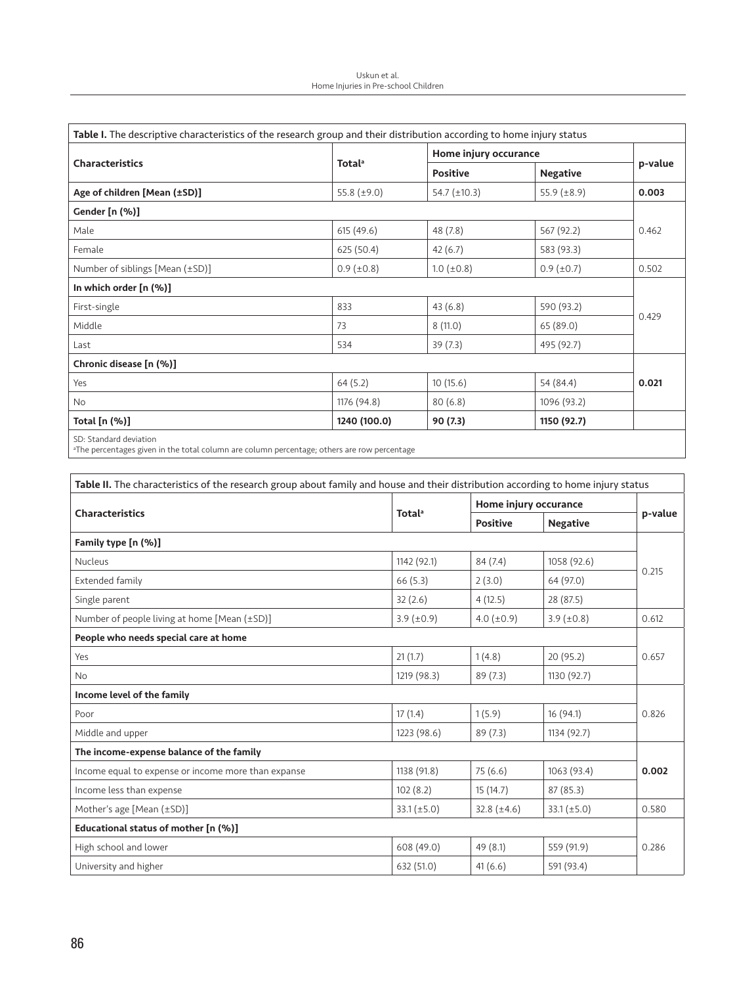| Table I. The descriptive characteristics of the research group and their distribution according to home injury status<br><b>Characteristics</b> |                           |                       | p-value             |       |
|-------------------------------------------------------------------------------------------------------------------------------------------------|---------------------------|-----------------------|---------------------|-------|
|                                                                                                                                                 | <b>Total</b> <sup>a</sup> | Home injury occurance |                     |       |
|                                                                                                                                                 |                           | <b>Positive</b>       | <b>Negative</b>     |       |
| Age of children [Mean (±SD)]                                                                                                                    | 55.8 $(\pm 9.0)$          | $54.7 (\pm 10.3)$     | $55.9 \ (\pm 8.9)$  | 0.003 |
| Gender [n (%)]                                                                                                                                  |                           |                       |                     |       |
| Male                                                                                                                                            | 615(49.6)                 | 48 (7.8)              | 567 (92.2)          | 0.462 |
| Female                                                                                                                                          | 625 (50.4)                | 42(6.7)               | 583 (93.3)          |       |
| Number of siblings [Mean (±SD)]                                                                                                                 | $0.9$ ( $\pm 0.8$ )       | $1.0$ ( $\pm$ 0.8)    | $0.9$ ( $\pm 0.7$ ) | 0.502 |
| In which order [n (%)]                                                                                                                          |                           |                       |                     |       |
| First-single                                                                                                                                    | 833                       | 43(6.8)               | 590 (93.2)          | 0.429 |
| Middle                                                                                                                                          | 73                        | 8(11.0)               | 65 (89.0)           |       |
| Last                                                                                                                                            | 534                       | 39(7.3)               | 495 (92.7)          |       |
| Chronic disease [n (%)]                                                                                                                         |                           |                       |                     |       |
| Yes                                                                                                                                             | 64(5.2)                   | 10(15.6)              | 54 (84.4)           | 0.021 |
| No                                                                                                                                              | 1176 (94.8)               | 80(6.8)               | 1096 (93.2)         |       |
| Total [n (%)]                                                                                                                                   | 1240 (100.0)              | 90 (7.3)              | 1150 (92.7)         |       |
| SD: Standard deviation                                                                                                                          |                           |                       |                     |       |

SD: Standard deviation a The percentages given in the total column are column percentage; others are row percentage

| Table II. The characteristics of the research group about family and house and their distribution according to home injury status |                           |                       |                  |         |
|-----------------------------------------------------------------------------------------------------------------------------------|---------------------------|-----------------------|------------------|---------|
|                                                                                                                                   | <b>Total</b> <sup>a</sup> | Home injury occurance |                  |         |
| <b>Characteristics</b>                                                                                                            |                           | <b>Positive</b>       | <b>Negative</b>  | p-value |
| Family type [n (%)]                                                                                                               |                           |                       |                  |         |
| <b>Nucleus</b>                                                                                                                    | 1142 (92.1)               | 84 (7.4)              | 1058 (92.6)      | 0.215   |
| Extended family                                                                                                                   | 66(5.3)                   | 2(3.0)                | 64 (97.0)        |         |
| Single parent                                                                                                                     | 32(2.6)                   | 4(12.5)               | 28 (87.5)        |         |
| Number of people living at home [Mean (±SD)]                                                                                      | $3.9 \ (\pm 0.9)$         | $4.0 (\pm 0.9)$       | $3.9 (\pm 0.8)$  | 0.612   |
| People who needs special care at home                                                                                             |                           |                       |                  | 0.657   |
| Yes                                                                                                                               | 21(1.7)                   | 1(4.8)                | 20 (95.2)        |         |
| <b>No</b>                                                                                                                         | 1219 (98.3)               | 89(7.3)               | 1130 (92.7)      |         |
| Income level of the family                                                                                                        |                           |                       |                  |         |
| Poor                                                                                                                              | 17(1.4)                   | 1(5.9)                | 16(94.1)         | 0.826   |
| Middle and upper                                                                                                                  | 1223 (98.6)               | 89(7.3)               | 1134 (92.7)      |         |
| The income-expense balance of the family                                                                                          |                           |                       |                  |         |
| Income equal to expense or income more than expanse                                                                               | 1138 (91.8)               | 75 (6.6)              | 1063 (93.4)      | 0.002   |
| Income less than expense                                                                                                          | 102(8.2)                  | 15(14.7)              | 87 (85.3)        |         |
| Mother's age [Mean (±SD)]                                                                                                         | $33.1 (\pm 5.0)$          | $32.8 (\pm 4.6)$      | $33.1 (\pm 5.0)$ | 0.580   |
| Educational status of mother [n (%)]                                                                                              |                           |                       |                  |         |
| High school and lower                                                                                                             | 608 (49.0)                | 49(8.1)               | 559 (91.9)       | 0.286   |
| University and higher                                                                                                             | 632 (51.0)                | 41(6.6)               | 591 (93.4)       |         |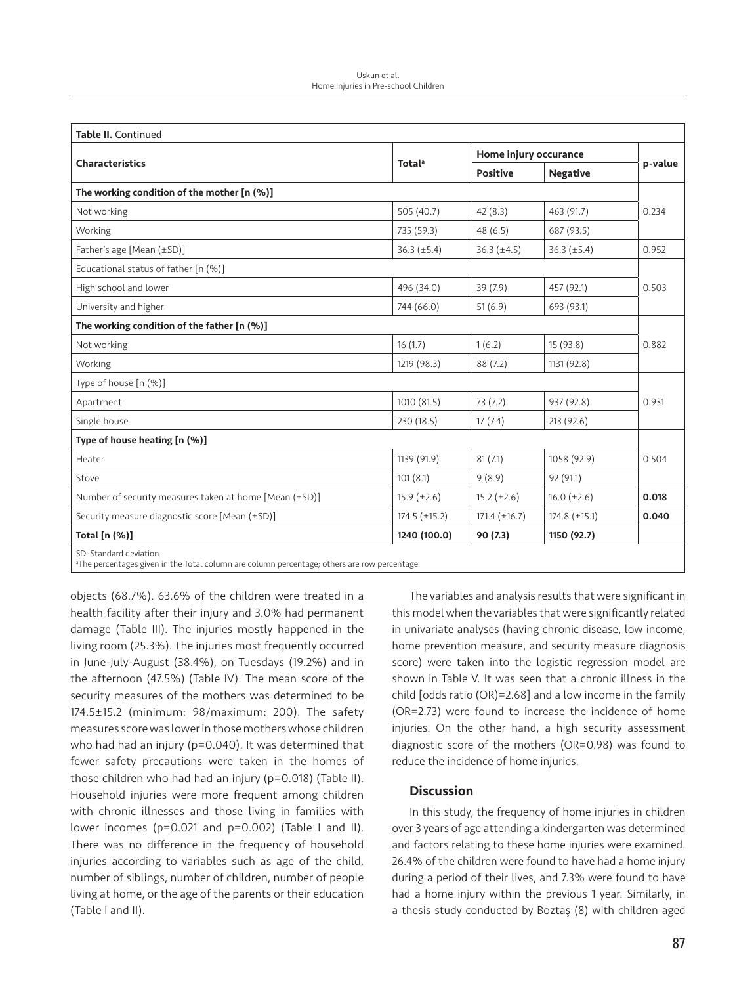| <b>Table II. Continued</b>                                                                                                        |                           |                       |                      |         |
|-----------------------------------------------------------------------------------------------------------------------------------|---------------------------|-----------------------|----------------------|---------|
|                                                                                                                                   | <b>Total</b> <sup>a</sup> | Home injury occurance |                      |         |
| <b>Characteristics</b>                                                                                                            |                           | <b>Positive</b>       | <b>Negative</b>      | p-value |
| The working condition of the mother [n (%)]                                                                                       |                           |                       |                      |         |
| Not working                                                                                                                       | 505 (40.7)                | 42(8.3)               | 463 (91.7)           | 0.234   |
| Working                                                                                                                           | 735 (59.3)                | 48(6.5)               | 687 (93.5)           |         |
| Father's age [Mean (±SD)]                                                                                                         | $36.3 (\pm 5.4)$          | $36.3 (\pm 4.5)$      | $36.3 (\pm 5.4)$     | 0.952   |
| Educational status of father [n (%)]                                                                                              |                           |                       |                      |         |
| High school and lower                                                                                                             | 496 (34.0)                | 39 (7.9)              | 457 (92.1)           | 0.503   |
| University and higher                                                                                                             | 744 (66.0)                | 51(6.9)               | 693 (93.1)           |         |
| The working condition of the father [n (%)]                                                                                       |                           |                       |                      | 0.882   |
| Not working                                                                                                                       | 16(1.7)                   | 1(6.2)                | 15(93.8)             |         |
| Working                                                                                                                           | 1219 (98.3)               | 88(7.2)               | 1131 (92.8)          |         |
| Type of house [n (%)]                                                                                                             |                           |                       |                      |         |
| Apartment                                                                                                                         | 1010 (81.5)               | 73 (7.2)              | 937 (92.8)           | 0.931   |
| Single house                                                                                                                      | 230 (18.5)                | 17(7.4)               | 213 (92.6)           |         |
| Type of house heating [n (%)]                                                                                                     |                           |                       |                      |         |
| Heater                                                                                                                            | 1139 (91.9)               | 81(7.1)               | 1058 (92.9)          | 0.504   |
| Stove                                                                                                                             | 101(8.1)                  | 9(8.9)                | 92 (91.1)            |         |
| Number of security measures taken at home [Mean (±SD)]                                                                            | $15.9 \ (\pm 2.6)$        | $15.2 (\pm 2.6)$      | $16.0 (\pm 2.6)$     | 0.018   |
| Security measure diagnostic score [Mean (±SD)]                                                                                    | $174.5 \ (\pm 15.2)$      | $171.4 \ (\pm 16.7)$  | $174.8 \ (\pm 15.1)$ | 0.040   |
| Total [n (%)]                                                                                                                     | 1240 (100.0)              | 90 (7.3)              | 1150 (92.7)          |         |
| SD: Standard deviation<br><sup>a</sup> The percentages given in the Total column are column percentage; others are row percentage |                           |                       |                      |         |

objects (68.7%). 63.6% of the children were treated in a health facility after their injury and 3.0% had permanent damage (Table III). The injuries mostly happened in the living room (25.3%). The injuries most frequently occurred in June-July-August (38.4%), on Tuesdays (19.2%) and in the afternoon (47.5%) (Table IV). The mean score of the security measures of the mothers was determined to be 174.5±15.2 (minimum: 98/maximum: 200). The safety measures score was lower in those mothers whose children who had had an injury (p=0.040). It was determined that fewer safety precautions were taken in the homes of those children who had had an injury (p=0.018) (Table II). Household injuries were more frequent among children with chronic illnesses and those living in families with lower incomes (p=0.021 and p=0.002) (Table I and II). There was no difference in the frequency of household injuries according to variables such as age of the child, number of siblings, number of children, number of people living at home, or the age of the parents or their education (Table I and II).

The variables and analysis results that were significant in this model when the variables that were significantly related in univariate analyses (having chronic disease, low income, home prevention measure, and security measure diagnosis score) were taken into the logistic regression model are shown in Table V. It was seen that a chronic illness in the child [odds ratio (OR)=2.68] and a low income in the family (OR=2.73) were found to increase the incidence of home injuries. On the other hand, a high security assessment diagnostic score of the mothers (OR=0.98) was found to reduce the incidence of home injuries.

# **Discussion**

In this study, the frequency of home injuries in children over 3 years of age attending a kindergarten was determined and factors relating to these home injuries were examined. 26.4% of the children were found to have had a home injury during a period of their lives, and 7.3% were found to have had a home injury within the previous 1 year. Similarly, in a thesis study conducted by Boztaş (8) with children aged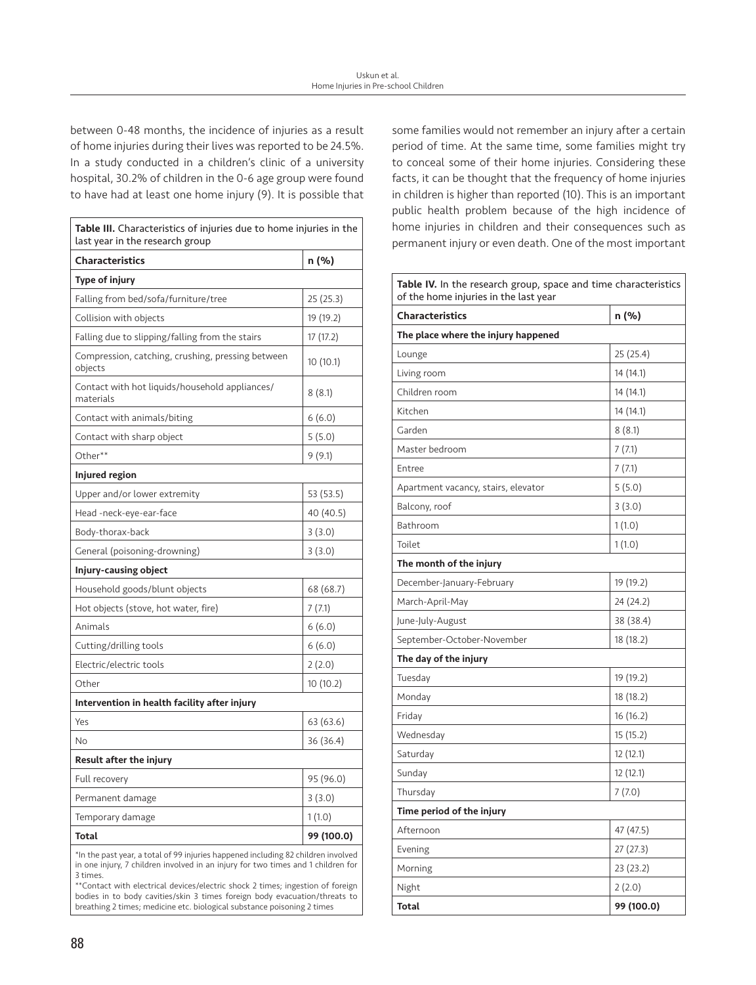between 0-48 months, the incidence of injuries as a result of home injuries during their lives was reported to be 24.5%. In a study conducted in a children's clinic of a university hospital, 30.2% of children in the 0-6 age group were found to have had at least one home injury (9). It is possible that

| Table III. Characteristics of injuries due to home injuries in the<br>last year in the research group |            |  |  |  |
|-------------------------------------------------------------------------------------------------------|------------|--|--|--|
| <b>Characteristics</b>                                                                                | n (%)      |  |  |  |
| Type of injury                                                                                        |            |  |  |  |
| Falling from bed/sofa/furniture/tree                                                                  | 25 (25.3)  |  |  |  |
| Collision with objects                                                                                | 19 (19.2)  |  |  |  |
| Falling due to slipping/falling from the stairs                                                       | 17 (17.2)  |  |  |  |
| Compression, catching, crushing, pressing between<br>objects                                          | 10(10.1)   |  |  |  |
| Contact with hot liquids/household appliances/<br>materials                                           | 8(8.1)     |  |  |  |
| Contact with animals/biting                                                                           | 6(6.0)     |  |  |  |
| Contact with sharp object                                                                             | 5 (5.0)    |  |  |  |
| Other**                                                                                               | 9 (9.1)    |  |  |  |
| Injured region                                                                                        |            |  |  |  |
| Upper and/or lower extremity                                                                          | 53 (53.5)  |  |  |  |
| Head -neck-eye-ear-face                                                                               | 40 (40.5)  |  |  |  |
| Body-thorax-back                                                                                      | 3(3.0)     |  |  |  |
| General (poisoning-drowning)                                                                          | 3(3.0)     |  |  |  |
| Injury-causing object                                                                                 |            |  |  |  |
| Household goods/blunt objects                                                                         | 68 (68.7)  |  |  |  |
| Hot objects (stove, hot water, fire)                                                                  | 7(7.1)     |  |  |  |
| Animals                                                                                               | 6(6.0)     |  |  |  |
| Cutting/drilling tools                                                                                | 6(6.0)     |  |  |  |
| Electric/electric tools                                                                               | 2(2.0)     |  |  |  |
| Other                                                                                                 | 10(10.2)   |  |  |  |
| Intervention in health facility after injury                                                          |            |  |  |  |
| Yes                                                                                                   | 63 (63.6)  |  |  |  |
| No                                                                                                    | 36 (36.4)  |  |  |  |
| <b>Result after the injury</b>                                                                        |            |  |  |  |
| Full recovery                                                                                         | 95 (96.0)  |  |  |  |
| Permanent damage                                                                                      | 3(3.0)     |  |  |  |
| Temporary damage                                                                                      | 1(1.0)     |  |  |  |
| Total                                                                                                 | 99 (100.0) |  |  |  |

\*In the past year, a total of 99 injuries happened including 82 children involved in one injury, 7 children involved in an injury for two times and 1 children for 3 times.

\*\*Contact with electrical devices/electric shock 2 times; ingestion of foreign bodies in to body cavities/skin 3 times foreign body evacuation/threats to breathing 2 times; medicine etc. biological substance poisoning 2 times

some families would not remember an injury after a certain period of time. At the same time, some families might try to conceal some of their home injuries. Considering these facts, it can be thought that the frequency of home injuries in children is higher than reported (10). This is an important public health problem because of the high incidence of home injuries in children and their consequences such as permanent injury or even death. One of the most important

| <b>Table IV.</b> In the research group, space and time characteristics<br>of the home injuries in the last year |            |  |  |
|-----------------------------------------------------------------------------------------------------------------|------------|--|--|
| <b>Characteristics</b>                                                                                          | n (%)      |  |  |
| The place where the injury happened                                                                             |            |  |  |
| Lounge                                                                                                          | 25 (25.4)  |  |  |
| Living room                                                                                                     | 14 (14.1)  |  |  |
| Children room                                                                                                   | 14 (14.1)  |  |  |
| Kitchen                                                                                                         | 14 (14.1)  |  |  |
| Garden                                                                                                          | 8(8.1)     |  |  |
| Master bedroom                                                                                                  | 7(7.1)     |  |  |
| Entree                                                                                                          | 7(7.1)     |  |  |
| Apartment vacancy, stairs, elevator                                                                             | 5(5.0)     |  |  |
| Balcony, roof                                                                                                   | 3(3.0)     |  |  |
| Bathroom                                                                                                        | 1(1.0)     |  |  |
| Toilet                                                                                                          | 1(1.0)     |  |  |
| The month of the injury                                                                                         |            |  |  |
| December-January-February                                                                                       | 19 (19.2)  |  |  |
| March-April-May                                                                                                 | 24 (24.2)  |  |  |
| June-July-August                                                                                                | 38 (38.4)  |  |  |
| September-October-November                                                                                      | 18(18.2)   |  |  |
| The day of the injury                                                                                           |            |  |  |
| Tuesday                                                                                                         | 19 (19.2)  |  |  |
| Monday                                                                                                          | 18 (18.2)  |  |  |
| Friday                                                                                                          | 16(16.2)   |  |  |
| Wednesday                                                                                                       | 15 (15.2)  |  |  |
| Saturday                                                                                                        | 12 (12.1)  |  |  |
| Sunday                                                                                                          | 12(12.1)   |  |  |
| Thursday                                                                                                        | 7(7.0)     |  |  |
| Time period of the injury                                                                                       |            |  |  |
| Afternoon                                                                                                       | 47 (47.5)  |  |  |
| Evening                                                                                                         | 27 (27.3)  |  |  |
| Morning                                                                                                         | 23(23.2)   |  |  |
| Night                                                                                                           | 2(2.0)     |  |  |
| <b>Total</b>                                                                                                    | 99 (100.0) |  |  |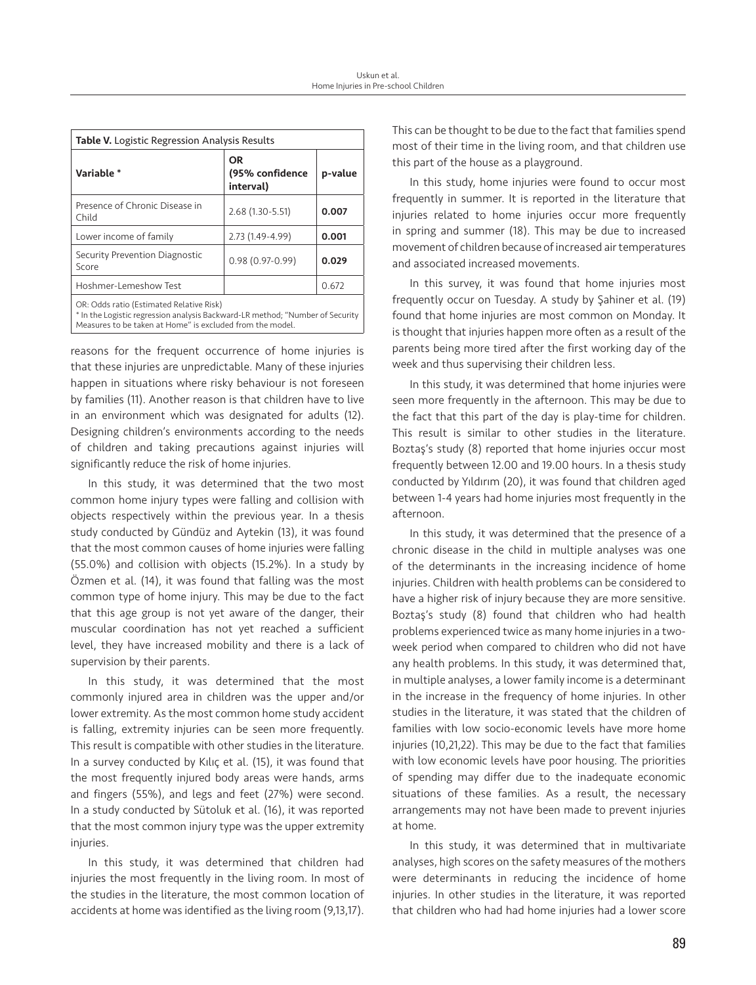| <b>Table V.</b> Logistic Regression Analysis Results |                                    |         |  |  |
|------------------------------------------------------|------------------------------------|---------|--|--|
| Variable *                                           | OR<br>(95% confidence<br>interval) | p-value |  |  |
| Presence of Chronic Disease in<br>Child              | 2.68 (1.30-5.51)                   | 0.007   |  |  |
| Lower income of family                               | 2.73 (1.49-4.99)                   | 0.001   |  |  |
| Security Prevention Diagnostic<br>Score              | $0.98(0.97-0.99)$                  | 0.029   |  |  |
| Hoshmer-Lemeshow Test                                |                                    | 0.672   |  |  |
| OR: Odds ratio (Estimated Relative Risk)             |                                    |         |  |  |

\* In the Logistic regression analysis Backward-LR method; "Number of Security Measures to be taken at Home" is excluded from the model.

reasons for the frequent occurrence of home injuries is that these injuries are unpredictable. Many of these injuries happen in situations where risky behaviour is not foreseen by families (11). Another reason is that children have to live in an environment which was designated for adults (12). Designing children's environments according to the needs of children and taking precautions against injuries will significantly reduce the risk of home injuries.

In this study, it was determined that the two most common home injury types were falling and collision with objects respectively within the previous year. In a thesis study conducted by Gündüz and Aytekin (13), it was found that the most common causes of home injuries were falling (55.0%) and collision with objects (15.2%). In a study by Özmen et al. (14), it was found that falling was the most common type of home injury. This may be due to the fact that this age group is not yet aware of the danger, their muscular coordination has not yet reached a sufficient level, they have increased mobility and there is a lack of supervision by their parents.

In this study, it was determined that the most commonly injured area in children was the upper and/or lower extremity. As the most common home study accident is falling, extremity injuries can be seen more frequently. This result is compatible with other studies in the literature. In a survey conducted by Kılıç et al. (15), it was found that the most frequently injured body areas were hands, arms and fingers (55%), and legs and feet (27%) were second. In a study conducted by Sütoluk et al. (16), it was reported that the most common injury type was the upper extremity injuries.

In this study, it was determined that children had injuries the most frequently in the living room. In most of the studies in the literature, the most common location of accidents at home was identified as the living room (9,13,17).

This can be thought to be due to the fact that families spend most of their time in the living room, and that children use this part of the house as a playground.

In this study, home injuries were found to occur most frequently in summer. It is reported in the literature that injuries related to home injuries occur more frequently in spring and summer (18). This may be due to increased movement of children because of increased air temperatures and associated increased movements.

In this survey, it was found that home injuries most frequently occur on Tuesday. A study by Şahiner et al. (19) found that home injuries are most common on Monday. It is thought that injuries happen more often as a result of the parents being more tired after the first working day of the week and thus supervising their children less.

In this study, it was determined that home injuries were seen more frequently in the afternoon. This may be due to the fact that this part of the day is play-time for children. This result is similar to other studies in the literature. Boztaş's study (8) reported that home injuries occur most frequently between 12.00 and 19.00 hours. In a thesis study conducted by Yıldırım (20), it was found that children aged between 1-4 years had home injuries most frequently in the afternoon.

In this study, it was determined that the presence of a chronic disease in the child in multiple analyses was one of the determinants in the increasing incidence of home injuries. Children with health problems can be considered to have a higher risk of injury because they are more sensitive. Boztaş's study (8) found that children who had health problems experienced twice as many home injuries in a twoweek period when compared to children who did not have any health problems. In this study, it was determined that, in multiple analyses, a lower family income is a determinant in the increase in the frequency of home injuries. In other studies in the literature, it was stated that the children of families with low socio-economic levels have more home injuries (10,21,22). This may be due to the fact that families with low economic levels have poor housing. The priorities of spending may differ due to the inadequate economic situations of these families. As a result, the necessary arrangements may not have been made to prevent injuries at home.

In this study, it was determined that in multivariate analyses, high scores on the safety measures of the mothers were determinants in reducing the incidence of home injuries. In other studies in the literature, it was reported that children who had had home injuries had a lower score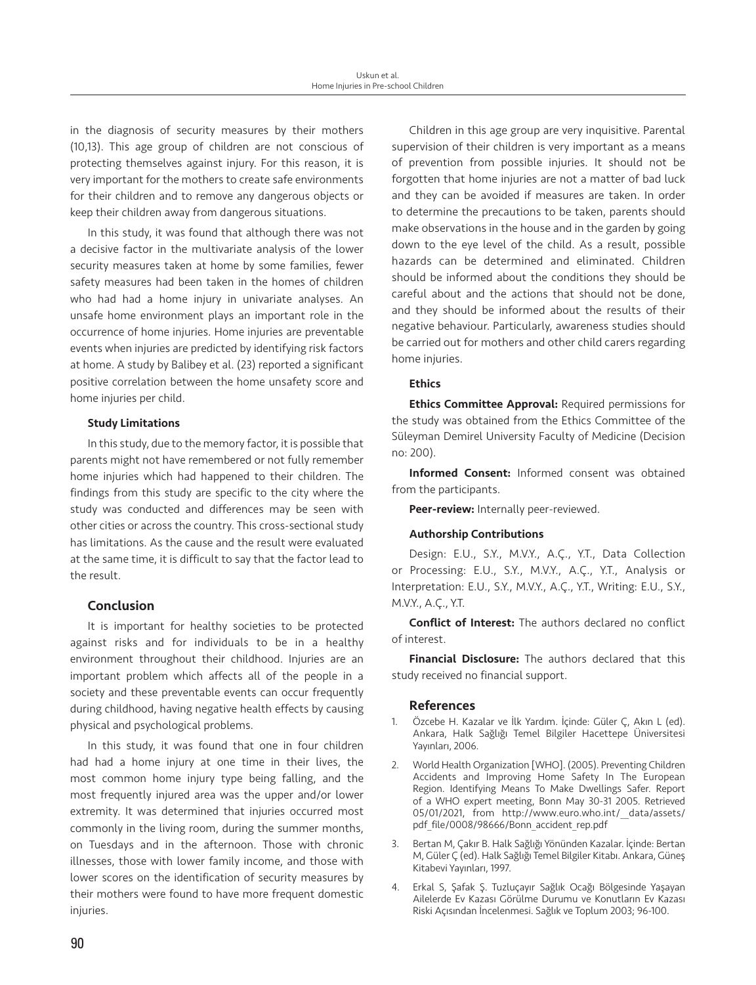in the diagnosis of security measures by their mothers (10,13). This age group of children are not conscious of protecting themselves against injury. For this reason, it is very important for the mothers to create safe environments for their children and to remove any dangerous objects or keep their children away from dangerous situations.

In this study, it was found that although there was not a decisive factor in the multivariate analysis of the lower security measures taken at home by some families, fewer safety measures had been taken in the homes of children who had had a home injury in univariate analyses. An unsafe home environment plays an important role in the occurrence of home injuries. Home injuries are preventable events when injuries are predicted by identifying risk factors at home. A study by Balibey et al. (23) reported a significant positive correlation between the home unsafety score and home injuries per child.

### Study Limitations

In this study, due to the memory factor, it is possible that parents might not have remembered or not fully remember home injuries which had happened to their children. The findings from this study are specific to the city where the study was conducted and differences may be seen with other cities or across the country. This cross-sectional study has limitations. As the cause and the result were evaluated at the same time, it is difficult to say that the factor lead to the result.

# Conclusion

It is important for healthy societies to be protected against risks and for individuals to be in a healthy environment throughout their childhood. Injuries are an important problem which affects all of the people in a society and these preventable events can occur frequently during childhood, having negative health effects by causing physical and psychological problems.

In this study, it was found that one in four children had had a home injury at one time in their lives, the most common home injury type being falling, and the most frequently injured area was the upper and/or lower extremity. It was determined that injuries occurred most commonly in the living room, during the summer months, on Tuesdays and in the afternoon. Those with chronic illnesses, those with lower family income, and those with lower scores on the identification of security measures by their mothers were found to have more frequent domestic injuries.

Children in this age group are very inquisitive. Parental supervision of their children is very important as a means of prevention from possible injuries. It should not be forgotten that home injuries are not a matter of bad luck and they can be avoided if measures are taken. In order to determine the precautions to be taken, parents should make observations in the house and in the garden by going down to the eye level of the child. As a result, possible hazards can be determined and eliminated. Children should be informed about the conditions they should be careful about and the actions that should not be done, and they should be informed about the results of their negative behaviour. Particularly, awareness studies should be carried out for mothers and other child carers regarding home injuries.

### Ethics

**Ethics Committee Approval: Required permissions for** the study was obtained from the Ethics Committee of the Süleyman Demirel University Faculty of Medicine (Decision no: 200).

Informed Consent: Informed consent was obtained from the participants.

Peer-review: Internally peer-reviewed.

#### Authorship Contributions

Design: E.U., S.Y., M.V.Y., A.Ç., Y.T., Data Collection or Processing: E.U., S.Y., M.V.Y., A.Ç., Y.T., Analysis or Interpretation: E.U., S.Y., M.V.Y., A.Ç., Y.T., Writing: E.U., S.Y., M.V.Y., A.Ç., Y.T.

Conflict of Interest: The authors declared no conflict of interest.

**Financial Disclosure:** The authors declared that this study received no financial support.

# References

- 1. Özcebe H. Kazalar ve İlk Yardım. İçinde: Güler Ç, Akın L (ed). Ankara, Halk Sağlığı Temel Bilgiler Hacettepe Üniversitesi Yayınları, 2006.
- 2. World Health Organization [WHO]. (2005). Preventing Children Accidents and Improving Home Safety In The European Region. Identifying Means To Make Dwellings Safer. Report of a WHO expert meeting, Bonn May 30-31 2005. Retrieved 05/01/2021, from http://www.euro.who.int/\_\_data/assets/ pdf file/0008/98666/Bonn accident rep.pdf
- 3. Bertan M, Çakır B. Halk Sağlığı Yönünden Kazalar. İçinde: Bertan M, Güler Ç (ed). Halk Sağlığı Temel Bilgiler Kitabı. Ankara, Güneş Kitabevi Yayınları, 1997.
- 4. Erkal S, Şafak Ş. Tuzluçayır Sağlık Ocağı Bölgesinde Yaşayan Ailelerde Ev Kazası Görülme Durumu ve Konutların Ev Kazası Riski Açısından İncelenmesi. Sağlık ve Toplum 2003; 96-100.